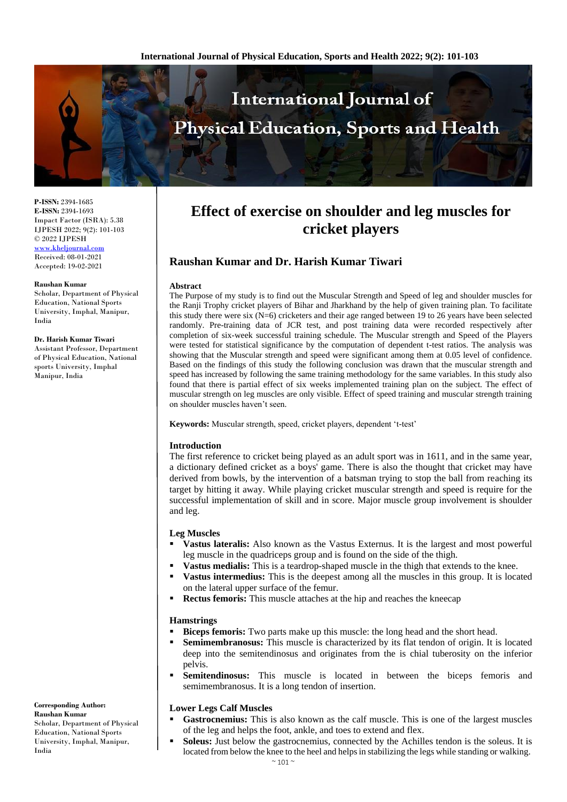

**P-ISSN:** 2394-1685 **E-ISSN:** 2394-1693 Impact Factor (ISRA): 5.38 IJPESH 2022; 9(2): 101-103 © 2022 IJPESH [www.kheljournal.com](http://www.kheljournal.com/)

Received: 08-01-2021 Accepted: 19-02-2021

#### **Raushan Kumar**

Scholar, Department of Physical Education, National Sports University, Imphal, Manipur, India

#### **Dr. Harish Kumar Tiwari**

Assistant Professor, Department of Physical Education, National sports University, Imphal Manipur, India

# **Effect of exercise on shoulder and leg muscles for cricket players**

# **Raushan Kumar and Dr. Harish Kumar Tiwari**

#### **Abstract**

The Purpose of my study is to find out the Muscular Strength and Speed of leg and shoulder muscles for the Ranji Trophy cricket players of Bihar and Jharkhand by the help of given training plan. To facilitate this study there were six  $(N=6)$  cricketers and their age ranged between 19 to 26 years have been selected randomly. Pre-training data of JCR test, and post training data were recorded respectively after completion of six-week successful training schedule. The Muscular strength and Speed of the Players were tested for statistical significance by the computation of dependent t-test ratios. The analysis was showing that the Muscular strength and speed were significant among them at 0.05 level of confidence. Based on the findings of this study the following conclusion was drawn that the muscular strength and speed has increased by following the same training methodology for the same variables. In this study also found that there is partial effect of six weeks implemented training plan on the subject. The effect of muscular strength on leg muscles are only visible. Effect of speed training and muscular strength training on shoulder muscles haven't seen.

**Keywords:** Muscular strength, speed, cricket players, dependent 't-test'

#### **Introduction**

The first reference to cricket being played as an adult sport was in 1611, and in the same year, a dictionary defined cricket as a boys' game. There is also the thought that cricket may have derived from bowls, by the intervention of a batsman trying to stop the ball from reaching its target by hitting it away. While playing cricket muscular strength and speed is require for the successful implementation of skill and in score. Major muscle group involvement is shoulder and leg.

#### **Leg Muscles**

- **Vastus lateralis:** Also known as the Vastus Externus. It is the largest and most powerful leg muscle in the quadriceps group and is found on the side of the thigh.
- **Vastus medialis:** This is a teardrop-shaped muscle in the thigh that extends to the knee.
- **Vastus intermedius:** This is the deepest among all the muscles in this group. It is located on the lateral upper surface of the femur.
- **Rectus femoris:** This muscle attaches at the hip and reaches the kneecap

#### **Hamstrings**

- **Biceps femoris:** Two parts make up this muscle: the long head and the short head.
- **Semimembranosus:** This muscle is characterized by its flat tendon of origin. It is located deep into the semitendinosus and originates from the is chial tuberosity on the inferior pelvis.
- **Semitendinosus:** This muscle is located in between the biceps femoris and semimembranosus. It is a long tendon of insertion.

## **Lower Legs Calf Muscles**

- **Gastrocnemius:** This is also known as the calf muscle. This is one of the largest muscles of the leg and helps the foot, ankle, and toes to extend and flex.
- **Soleus:** Just below the gastrocnemius, connected by the Achilles tendon is the soleus. It is located from below the knee to the heel and helps in stabilizing the legs while standing or walking.

**Corresponding Author:**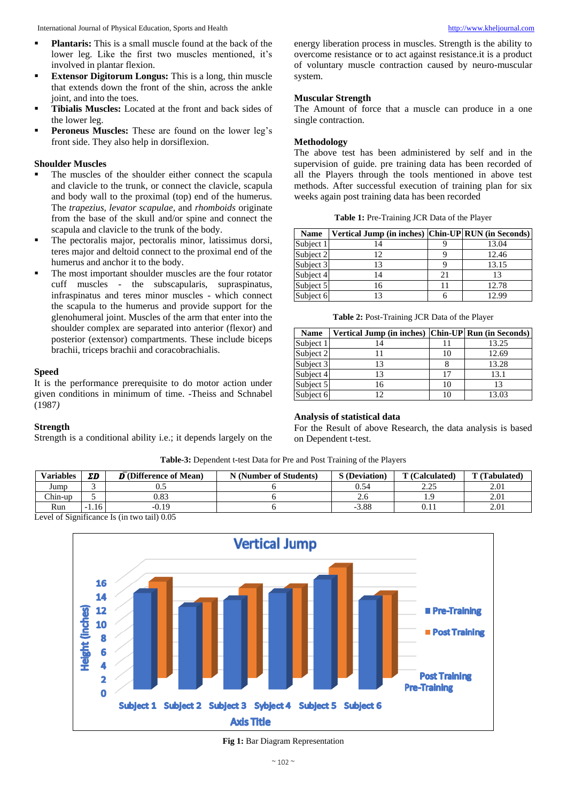- **Plantaris:** This is a small muscle found at the back of the lower leg. Like the first two muscles mentioned, it's involved in plantar flexion.
- **Extensor Digitorum Longus:** This is a long, thin muscle that extends down the front of the shin, across the ankle joint, and into the toes.
- **Tibialis Muscles:** Located at the front and back sides of the lower leg.
- Peroneus Muscles: These are found on the lower leg's front side. They also help in dorsiflexion.

## **Shoulder Muscles**

- The muscles of the shoulder either connect the scapula and clavicle to the trunk, or connect the clavicle, scapula and body wall to the proximal (top) end of the humerus. The *trapezius, levator scapulae*, and *rhomboids* originate from the base of the skull and/or spine and connect the scapula and clavicle to the trunk of the body.
- The pectoralis major, pectoralis minor, latissimus dorsi, teres major and deltoid connect to the proximal end of the humerus and anchor it to the body.
- The most important shoulder muscles are the four rotator cuff muscles - the subscapularis, supraspinatus, infraspinatus and teres minor muscles - which connect the scapula to the humerus and provide support for the glenohumeral joint. Muscles of the arm that enter into the shoulder complex are separated into anterior (flexor) and posterior (extensor) compartments. These include biceps brachii, triceps brachii and coracobrachialis.

#### **Speed**

It is the performance prerequisite to do motor action under given conditions in minimum of time. -Theiss and Schnabel (1987*)* 

#### **Strength**

Strength is a conditional ability i.e.; it depends largely on the

energy liberation process in muscles. Strength is the ability to overcome resistance or to act against resistance.it is a product of voluntary muscle contraction caused by neuro-muscular system.

#### **Muscular Strength**

The Amount of force that a muscle can produce in a one single contraction.

#### **Methodology**

The above test has been administered by self and in the supervision of guide. pre training data has been recorded of all the Players through the tools mentioned in above test methods. After successful execution of training plan for six weeks again post training data has been recorded

| <b>Name</b> | Vertical Jump (in inches) Chin-UP RUN (in Seconds) |    |       |
|-------------|----------------------------------------------------|----|-------|
| Subject 1   | 14                                                 |    | 13.04 |
| Subject 2   | 12                                                 |    | 12.46 |
| Subject 3   | 13                                                 |    | 13.15 |
| Subject 4   | $\overline{A}$                                     | 21 | 13    |
| Subject 5   | 16                                                 | 11 | 12.78 |
| Subject 6   |                                                    |    | 12.99 |

**Table 2:** Post-Training JCR Data of the Player

| <b>Name</b> | Vertical Jump (in inches) Chin-UP Run (in Seconds) |    |       |  |
|-------------|----------------------------------------------------|----|-------|--|
| Subject 1   |                                                    |    | 13.25 |  |
| Subject 2   |                                                    | 10 | 12.69 |  |
| Subject 3   | 13                                                 |    | 13.28 |  |
| Subject 4   | 13                                                 | 17 | 13.1  |  |
| Subject 5   | 16                                                 | 10 | 13    |  |
| Subject 6   | 12                                                 | 10 | 13.03 |  |

## **Analysis of statistical data**

For the Result of above Research, the data analysis is based on Dependent t-test.

| <b>Table-3:</b> Dependent t-test Data for Pre and Post Training of the Players |         |                                              |                        |                      |                |               |  |  |  |
|--------------------------------------------------------------------------------|---------|----------------------------------------------|------------------------|----------------------|----------------|---------------|--|--|--|
| <b>Variables</b>                                                               | ΣD      | $\overline{\mathbf{D}}$ (Difference of Mean) | N (Number of Students) | <b>S</b> (Deviation) | T (Calculated) | T (Tabulated) |  |  |  |
| Jump                                                                           |         |                                              |                        | 0.54                 |                | 2.01          |  |  |  |
| Chin-up                                                                        |         | 0.83                                         |                        |                      |                | 2.01          |  |  |  |
| Run                                                                            | $-1.16$ | $-0.19$                                      |                        | $-3.88$              |                | 2.01          |  |  |  |
| Level of Significance Is (in two tail) 0.05                                    |         |                                              |                        |                      |                |               |  |  |  |

Level of Significance Is (in two tail) 0.05



**Fig 1:** Bar Diagram Representation